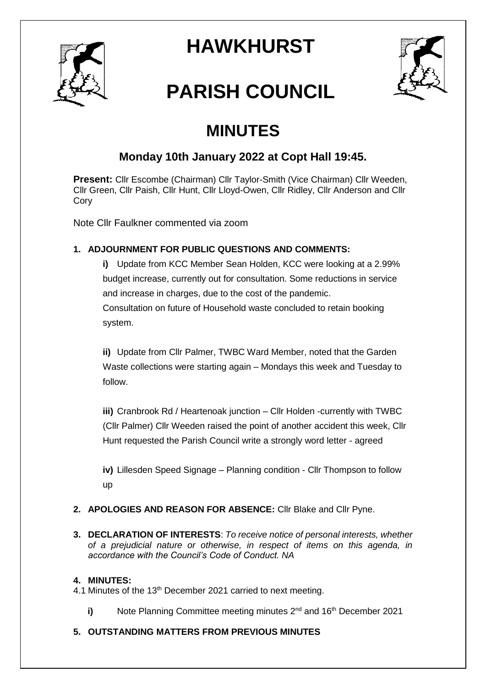

## **HAWKHURST**



# **PARISH COUNCIL**

### **MINUTES**

### **Monday 10th January 2022 at Copt Hall 19:45.**

**Present:** Cllr Escombe (Chairman) Cllr Taylor-Smith (Vice Chairman) Cllr Weeden, Cllr Green, Cllr Paish, Cllr Hunt, Cllr Lloyd-Owen, Cllr Ridley, Cllr Anderson and Cllr Cory

Note Cllr Faulkner commented via zoom

#### **1. ADJOURNMENT FOR PUBLIC QUESTIONS AND COMMENTS:**

**i)** Update from KCC Member Sean Holden, KCC were looking at a 2.99% budget increase, currently out for consultation. Some reductions in service and increase in charges, due to the cost of the pandemic. Consultation on future of Household waste concluded to retain booking system.

**ii)** Update from Cllr Palmer, TWBC Ward Member, noted that the Garden Waste collections were starting again – Mondays this week and Tuesday to follow.

**iii)** Cranbrook Rd / Heartenoak junction – Cllr Holden -currently with TWBC (Cllr Palmer) Cllr Weeden raised the point of another accident this week, Cllr Hunt requested the Parish Council write a strongly word letter - agreed

**iv)** Lillesden Speed Signage – Planning condition - Cllr Thompson to follow up

#### **2. APOLOGIES AND REASON FOR ABSENCE:** Cllr Blake and Cllr Pyne.

**3. DECLARATION OF INTERESTS**: *To receive notice of personal interests, whether of a prejudicial nature or otherwise, in respect of items on this agenda, in accordance with the Council's Code of Conduct. NA*

#### **4. MINUTES:**

4.1 Minutes of the 13<sup>th</sup> December 2021 carried to next meeting.

- **i)** Note Planning Committee meeting minutes 2<sup>nd</sup> and 16<sup>th</sup> December 2021
- **5. OUTSTANDING MATTERS FROM PREVIOUS MINUTES**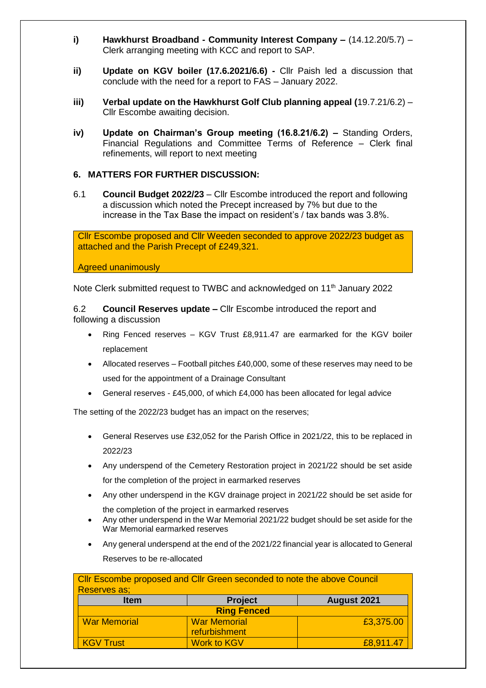- **i) Hawkhurst Broadband - Community Interest Company –** (14.12.20/5.7) Clerk arranging meeting with KCC and report to SAP.
- **ii) Update on KGV boiler (17.6.2021/6.6) -** Cllr Paish led a discussion that conclude with the need for a report to FAS – January 2022.
- **iii) Verbal update on the Hawkhurst Golf Club planning appeal (**19.7.21/6.2) Cllr Escombe awaiting decision.
- **iv) Update on Chairman's Group meeting (16.8.21/6.2) –** Standing Orders, Financial Regulations and Committee Terms of Reference – Clerk final refinements, will report to next meeting

#### **6. MATTERS FOR FURTHER DISCUSSION:**

6.1 **Council Budget 2022/23** – Cllr Escombe introduced the report and following a discussion which noted the Precept increased by 7% but due to the increase in the Tax Base the impact on resident's / tax bands was 3.8%.

Cllr Escombe proposed and Cllr Weeden seconded to approve 2022/23 budget as attached and the Parish Precept of £249,321.

Agreed unanimously

Note Clerk submitted request to TWBC and acknowledged on 11<sup>th</sup> January 2022

6.2 **Council Reserves update –** Cllr Escombe introduced the report and following a discussion

- Ring Fenced reserves KGV Trust £8,911.47 are earmarked for the KGV boiler replacement
- Allocated reserves Football pitches £40,000, some of these reserves may need to be used for the appointment of a Drainage Consultant
- General reserves £45,000, of which £4,000 has been allocated for legal advice

The setting of the 2022/23 budget has an impact on the reserves;

- General Reserves use £32,052 for the Parish Office in 2021/22, this to be replaced in 2022/23
- Any underspend of the Cemetery Restoration project in 2021/22 should be set aside for the completion of the project in earmarked reserves
- Any other underspend in the KGV drainage project in 2021/22 should be set aside for the completion of the project in earmarked reserves
- Any other underspend in the War Memorial 2021/22 budget should be set aside for the War Memorial earmarked reserves
- Any general underspend at the end of the 2021/22 financial year is allocated to General Reserves to be re-allocated

| Cllr Escombe proposed and Cllr Green seconded to note the above Council<br>Reserves as; |                     |             |
|-----------------------------------------------------------------------------------------|---------------------|-------------|
| <b>Item</b>                                                                             | <b>Project</b>      | August 2021 |
| <b>Ring Fenced</b>                                                                      |                     |             |
| <b>War Memorial</b>                                                                     | <b>War Memorial</b> | £3,375.00   |
|                                                                                         | refurbishment       |             |
| <b>KGV Trust</b>                                                                        | <b>Work to KGV</b>  | £8,911.47   |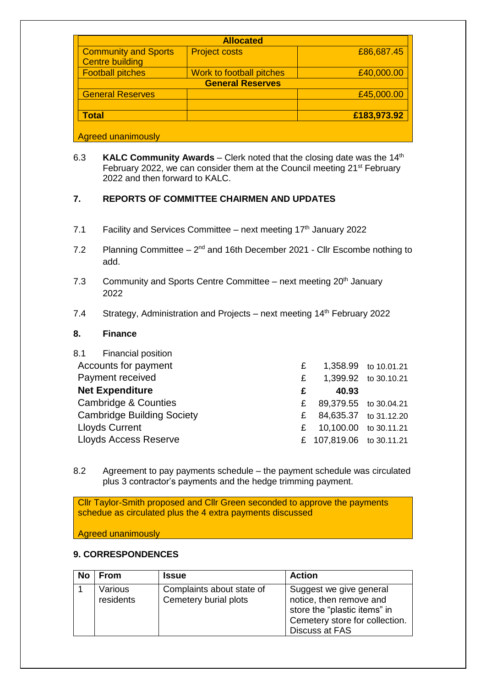| <b>Allocated</b>                                      |                          |             |  |  |
|-------------------------------------------------------|--------------------------|-------------|--|--|
| <b>Community and Sports</b><br><b>Centre building</b> | <b>Project costs</b>     | £86,687.45  |  |  |
| <b>Football pitches</b>                               | Work to football pitches | £40,000.00  |  |  |
| <b>General Reserves</b>                               |                          |             |  |  |
| <b>General Reserves</b>                               |                          | £45,000.00  |  |  |
| <b>Total</b>                                          |                          | £183,973.92 |  |  |
| <b>Agreed unanimously</b>                             |                          |             |  |  |

6.3 **KALC Community Awards** – Clerk noted that the closing date was the 14th February 2022, we can consider them at the Council meeting 21<sup>st</sup> February 2022 and then forward to KALC.

#### **7. REPORTS OF COMMITTEE CHAIRMEN AND UPDATES**

- 7.1 Facility and Services Committee next meeting  $17<sup>th</sup>$  January 2022
- 7.2 Planning Committee  $-2^{nd}$  and 16th December 2021 Cllr Escombe nothing to add.
- 7.3 Community and Sports Centre Committee next meeting  $20<sup>th</sup>$  January 2022
- 7.4 Strategy, Administration and Projects next meeting 14<sup>th</sup> February 2022

#### **8. Finance**

| 8.1 Financial position            |    |                          |                       |
|-----------------------------------|----|--------------------------|-----------------------|
| Accounts for payment              | £  |                          | 1,358.99 to 10.01.21  |
| Payment received                  | £  |                          | 1,399.92 to 30.10.21  |
| <b>Net Expenditure</b>            | £  | 40.93                    |                       |
| <b>Cambridge &amp; Counties</b>   | £. | 89,379.55 to 30.04.21    |                       |
| <b>Cambridge Building Society</b> | £  |                          | 84,635.37 to 31.12.20 |
| <b>Lloyds Current</b>             | £. | 10,100.00 to 30.11.21    |                       |
| <b>Lloyds Access Reserve</b>      |    | £ 107,819.06 to 30.11.21 |                       |

8.2 Agreement to pay payments schedule – the payment schedule was circulated plus 3 contractor's payments and the hedge trimming payment.

| Cllr Taylor-Smith proposed and Cllr Green seconded to approve the payments |  |
|----------------------------------------------------------------------------|--|
| schedue as circulated plus the 4 extra payments discussed                  |  |

Agreed unanimously

#### **9. CORRESPONDENCES**

| No | From                 | <b>Issue</b>                                       | <b>Action</b>                                                                                                                          |
|----|----------------------|----------------------------------------------------|----------------------------------------------------------------------------------------------------------------------------------------|
|    | Various<br>residents | Complaints about state of<br>Cemetery burial plots | Suggest we give general<br>notice, then remove and<br>store the "plastic items" in<br>Cemetery store for collection.<br>Discuss at FAS |